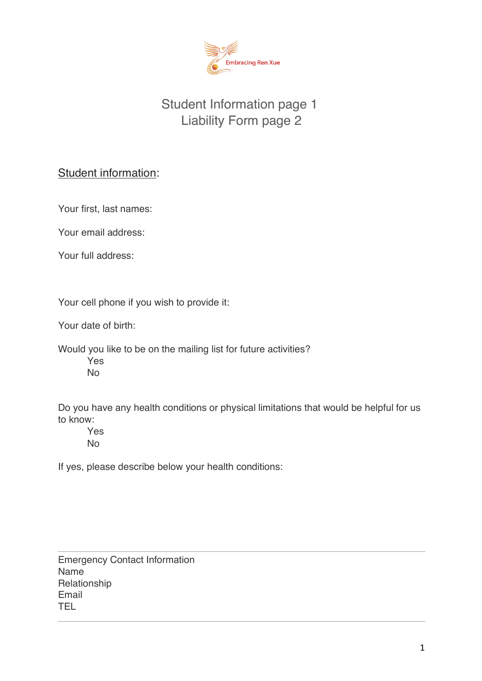

# Student Information page 1 Liability Form page 2

# Student information:

Your first, last names:

Your email address:

Your full address:

Your cell phone if you wish to provide it:

Your date of birth:

Would you like to be on the mailing list for future activities? Yes

No

Do you have any health conditions or physical limitations that would be helpful for us to know:

 Yes No

If yes, please describe below your health conditions:

Emergency Contact Information Name Relationship Email TEL